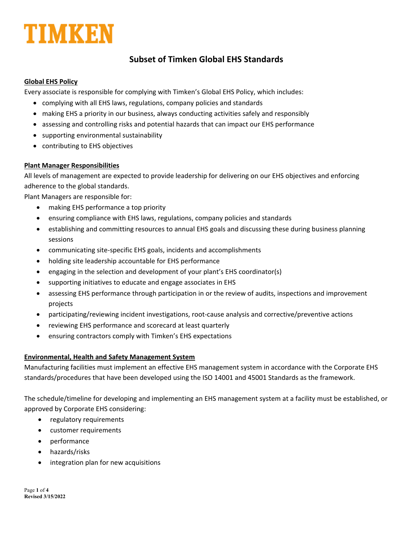

## **Subset of Timken Global EHS Standards**

#### **Global EHS Policy**

Every associate is responsible for complying with Timken's Global EHS Policy, which includes:

- complying with all EHS laws, regulations, company policies and standards
- making EHS a priority in our business, always conducting activities safely and responsibly
- assessing and controlling risks and potential hazards that can impact our EHS performance
- supporting environmental sustainability
- contributing to EHS objectives

### **Plant Manager Responsibilities**

All levels of management are expected to provide leadership for delivering on our EHS objectives and enforcing adherence to the global standards.

Plant Managers are responsible for:

- making EHS performance a top priority
- ensuring compliance with EHS laws, regulations, company policies and standards
- establishing and committing resources to annual EHS goals and discussing these during business planning sessions
- communicating site‐specific EHS goals, incidents and accomplishments
- holding site leadership accountable for EHS performance
- engaging in the selection and development of your plant's EHS coordinator(s)
- supporting initiatives to educate and engage associates in EHS
- assessing EHS performance through participation in or the review of audits, inspections and improvement projects
- participating/reviewing incident investigations, root‐cause analysis and corrective/preventive actions
- reviewing EHS performance and scorecard at least quarterly
- ensuring contractors comply with Timken's EHS expectations

### **Environmental, Health and Safety Management System**

Manufacturing facilities must implement an effective EHS management system in accordance with the Corporate EHS standards/procedures that have been developed using the ISO 14001 and 45001 Standards as the framework.

The schedule/timeline for developing and implementing an EHS management system at a facility must be established, or approved by Corporate EHS considering:

- regulatory requirements
- customer requirements
- performance
- hazards/risks
- integration plan for new acquisitions

Page **1** of **4 Revised 3/15/2022**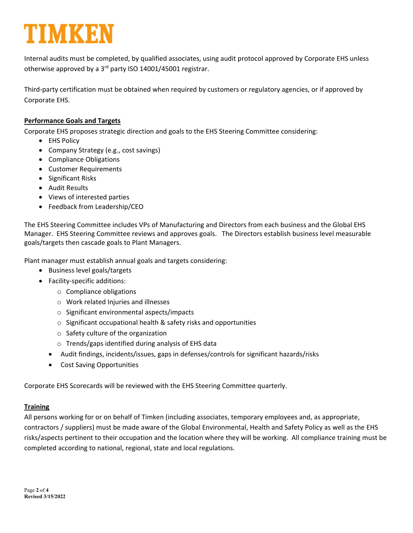# TIMKE

Internal audits must be completed, by qualified associates, using audit protocol approved by Corporate EHS unless otherwise approved by a 3<sup>rd</sup> party ISO 14001/45001 registrar.

Third‐party certification must be obtained when required by customers or regulatory agencies, or if approved by Corporate EHS.

### **Performance Goals and Targets**

Corporate EHS proposes strategic direction and goals to the EHS Steering Committee considering:

- EHS Policy
- Company Strategy (e.g., cost savings)
- Compliance Obligations
- Customer Requirements
- Significant Risks
- Audit Results
- Views of interested parties
- Feedback from Leadership/CEO

The EHS Steering Committee includes VPs of Manufacturing and Directors from each business and the Global EHS Manager. EHS Steering Committee reviews and approves goals. The Directors establish business level measurable goals/targets then cascade goals to Plant Managers.

Plant manager must establish annual goals and targets considering:

- Business level goals/targets
- Facility‐specific additions:
	- o Compliance obligations
	- o Work related Injuries and illnesses
	- o Significant environmental aspects/impacts
	- o Significant occupational health & safety risks and opportunities
	- o Safety culture of the organization
	- o Trends/gaps identified during analysis of EHS data
	- Audit findings, incidents/issues, gaps in defenses/controls for significant hazards/risks
	- Cost Saving Opportunities

Corporate EHS Scorecards will be reviewed with the EHS Steering Committee quarterly.

### **Training**

All persons working for or on behalf of Timken (including associates, temporary employees and, as appropriate, contractors / suppliers) must be made aware of the Global Environmental, Health and Safety Policy as well as the EHS risks/aspects pertinent to their occupation and the location where they will be working. All compliance training must be completed according to national, regional, state and local regulations.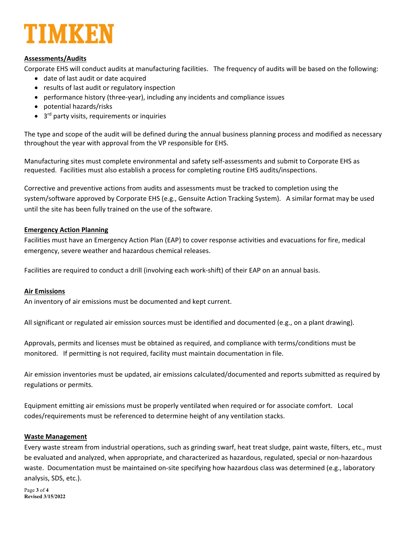

#### **Assessments/Audits**

Corporate EHS will conduct audits at manufacturing facilities. The frequency of audits will be based on the following:

- date of last audit or date acquired
- results of last audit or regulatory inspection
- performance history (three-year), including any incidents and compliance issues
- potential hazards/risks
- $\bullet$  3<sup>rd</sup> party visits, requirements or inquiries

The type and scope of the audit will be defined during the annual business planning process and modified as necessary throughout the year with approval from the VP responsible for EHS.

Manufacturing sites must complete environmental and safety self‐assessments and submit to Corporate EHS as requested. Facilities must also establish a process for completing routine EHS audits/inspections.

Corrective and preventive actions from audits and assessments must be tracked to completion using the system/software approved by Corporate EHS (e.g., Gensuite Action Tracking System). A similar format may be used until the site has been fully trained on the use of the software.

#### **Emergency Action Planning**

Facilities must have an Emergency Action Plan (EAP) to cover response activities and evacuations for fire, medical emergency, severe weather and hazardous chemical releases.

Facilities are required to conduct a drill (involving each work‐shift) of their EAP on an annual basis.

#### **Air Emissions**

An inventory of air emissions must be documented and kept current.

All significant or regulated air emission sources must be identified and documented (e.g., on a plant drawing).

Approvals, permits and licenses must be obtained as required, and compliance with terms/conditions must be monitored. If permitting is not required, facility must maintain documentation in file.

Air emission inventories must be updated, air emissions calculated/documented and reports submitted as required by regulations or permits.

Equipment emitting air emissions must be properly ventilated when required or for associate comfort. Local codes/requirements must be referenced to determine height of any ventilation stacks.

#### **Waste Management**

Every waste stream from industrial operations, such as grinding swarf, heat treat sludge, paint waste, filters, etc., must be evaluated and analyzed, when appropriate, and characterized as hazardous, regulated, special or non-hazardous waste. Documentation must be maintained on-site specifying how hazardous class was determined (e.g., laboratory analysis, SDS, etc.).

Page **3** of **4 Revised 3/15/2022**